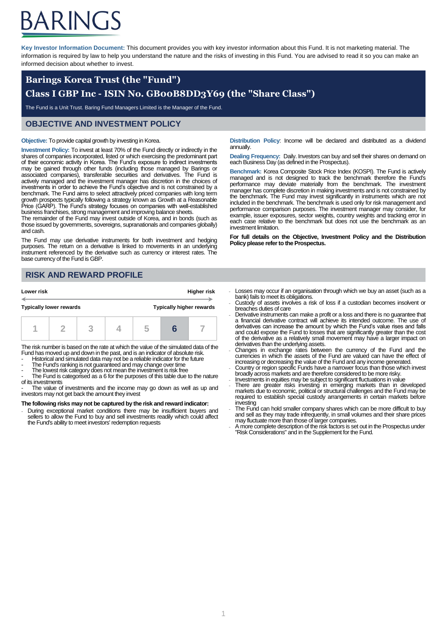# ARINGS

**Key Investor Information Document:** This document provides you with key investor information about this Fund. It is not marketing material. The information is required by law to help you understand the nature and the risks of investing in this Fund. You are advised to read it so you can make an informed decision about whether to invest.

## **Barings Korea Trust (the "Fund") Class I GBP Inc - ISIN No. GB00B8DD3Y69 (the "Share Class")**

The Fund is a Unit Trust. Baring Fund Managers Limited is the Manager of the Fund.

### **OBJECTIVE AND INVESTMENT POLICY**

#### **Objective:** To provide capital growth by investing in Korea.

**Investment Policy:** To invest at least 70% of the Fund directly or indirectly in the shares of companies incorporated, listed or which exercising the predominant part of their economic activity in Korea. The Fund's exposure to indirect investments may be gained through other funds (including those managed by Barings or associated companies), transferable securities and derivatives. The Fund is actively managed and the investment manager has discretion in the choices of investments in order to achieve the Fund's objective and is not constrained by a benchmark. The Fund aims to select attractively priced companies with long term growth prospects typically following a strategy known as Growth at a Reasonable Price (GARP). The Fund's strategy focuses on companies with well-established business franchises, strong management and improving balance sheets.

The remainder of the Fund may invest outside of Korea, and in bonds (such as those issued by governments, sovereigns, supranationals and companies globally) and cash.

The Fund may use derivative instruments for both investment and hedging purposes. The return on a derivative is linked to movements in an underlying instrument referenced by the derivative such as currency or interest rates. The base currency of the Fund is GBP.

## **RISK AND REWARD PROFILE**

| Lower risk                     |  | <b>Higher risk</b> |                                 |  |
|--------------------------------|--|--------------------|---------------------------------|--|
| <b>Typically lower rewards</b> |  |                    | <b>Typically higher rewards</b> |  |
|                                |  |                    |                                 |  |

The risk number is based on the rate at which the value of the simulated data of the Fund has moved up and down in the past, and is an indicator of absolute risk.

- Historical and simulated data may not be a reliable indicator for the future

- The Fund's ranking is not guaranteed and may change over time

The lowest risk category does not mean the investment is risk free

The Fund is categorised as a 6 for the purposes of this table due to the nature of its investments

- The value of investments and the income may go down as well as up and investors may not get back the amount they invest

#### **The following risks may not be captured by the risk and reward indicator:**

During exceptional market conditions there may be insufficient buyers and sellers to allow the Fund to buy and sell investments readily which could affect the Fund's ability to meet investors' redemption requests

**Distribution Policy**: Income will be declared and distributed as a dividend annually.

**Dealing Frequency: Daily. Investors can buy and sell their shares on demand on** each Business Day (as defined in the Prospectus).

**Benchmark:** Korea Composite Stock Price Index (KOSPI). The Fund is actively managed and is not designed to track the benchmark therefore the Fund's performance may deviate materially from the benchmark. The investment manager has complete discretion in making investments and is not constrained by the benchmark. The Fund may invest significantly in instruments which are not included in the benchmark. The benchmark is used only for risk management and performance comparison purposes. The investment manager may consider, for example, issuer exposures, sector weights, country weights and tracking error in each case relative to the benchmark but does not use the benchmark as an investment limitation.

**For full details on the Objective, Investment Policy and the Distribution Policy please refer to the Prospectus.**

- Losses may occur if an organisation through which we buy an asset (such as a bank) fails to meet its obligations.
- Custody of assets involves a risk of loss if a custodian becomes insolvent or breaches duties of care
- Derivative instruments can make a profit or a loss and there is no guarantee that a financial derivative contract will achieve its intended outcome. The use of derivatives can increase the amount by which the Fund's value rises and falls and could expose the Fund to losses that are significantly greater than the cost of the derivative as a relatively small movement may have a larger impact on derivatives than the underlying assets.
- Changes in exchange rates between the currency of the Fund and the currencies in which the assets of the Fund are valued can have the effect of
- increasing or decreasing the value of the Fund and any income generated.<br>Country or region specific Funds have a narrower focus than those which invest<br>broadly across markets and are therefore considered to be more risky.
- Investments in equities may be subject to significant fluctuations in value
- There are greater risks investing in emerging markets than in developed markets due to economic, political or structural challenges and the Fund may be required to establish special custody arrangements in certain markets before investing
- The Fund can hold smaller company shares which can be more difficult to buy and sell as they may trade infrequently, in small volumes and their share prices may fluctuate more than those of larger companies.
- A more complete description of the risk factors is set out in the Prospectus under "Risk Considerations" and in the Supplement for the Fund.